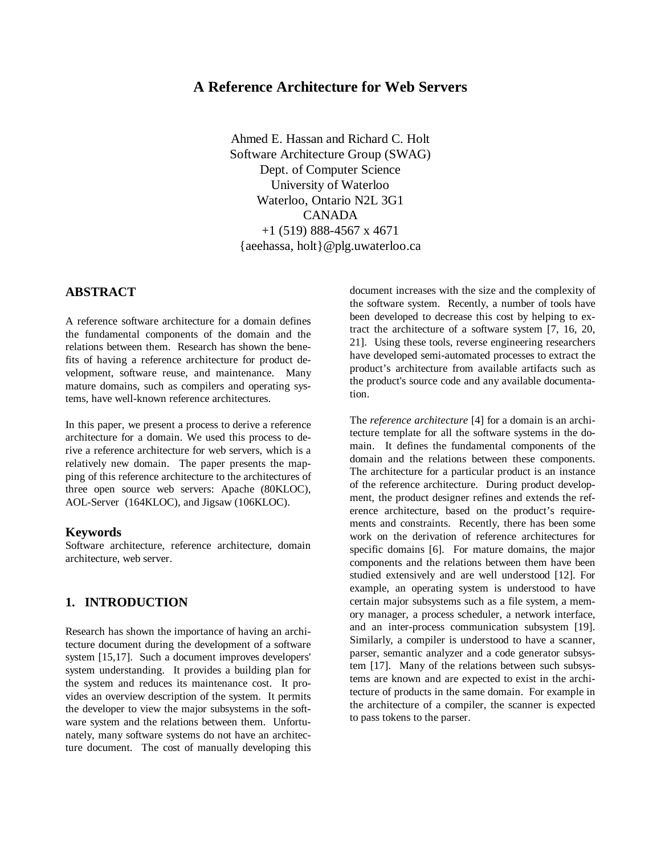# **A Reference Architecture for Web Servers**

Ahmed E. Hassan and Richard C. Holt Software Architecture Group (SWAG) Dept. of Computer Science University of Waterloo Waterloo, Ontario N2L 3G1 CANADA +1 (519) 888-4567 x 4671 {aeehassa, holt}@plg.uwaterloo.ca

## **ABSTRACT**

A reference software architecture for a domain defines the fundamental components of the domain and the relations between them. Research has shown the benefits of having a reference architecture for product development, software reuse, and maintenance. Many mature domains, such as compilers and operating systems, have well-known reference architectures.

In this paper, we present a process to derive a reference architecture for a domain. We used this process to derive a reference architecture for web servers, which is a relatively new domain. The paper presents the mapping of this reference architecture to the architectures of three open source web servers: Apache (80KLOC), AOL-Server (164KLOC), and Jigsaw (106KLOC).

#### **Keywords**

Software architecture, reference architecture, domain architecture, web server.

## **1. INTRODUCTION**

Research has shown the importance of having an architecture document during the development of a software system [15,17]. Such a document improves developers' system understanding. It provides a building plan for the system and reduces its maintenance cost. It provides an overview description of the system. It permits the developer to view the major subsystems in the software system and the relations between them. Unfortunately, many software systems do not have an architecture document. The cost of manually developing this document increases with the size and the complexity of the software system. Recently, a number of tools have been developed to decrease this cost by helping to extract the architecture of a software system [7, 16, 20, 21]. Using these tools, reverse engineering researchers have developed semi-automated processes to extract the product's architecture from available artifacts such as the product's source code and any available documentation.

The *reference architecture* [4] for a domain is an architecture template for all the software systems in the domain. It defines the fundamental components of the domain and the relations between these components. The architecture for a particular product is an instance of the reference architecture. During product development, the product designer refines and extends the reference architecture, based on the product's requirements and constraints. Recently, there has been some work on the derivation of reference architectures for specific domains [6]. For mature domains, the major components and the relations between them have been studied extensively and are well understood [12]. For example, an operating system is understood to have certain major subsystems such as a file system, a memory manager, a process scheduler, a network interface, and an inter-process communication subsystem [19]. Similarly, a compiler is understood to have a scanner, parser, semantic analyzer and a code generator subsystem [17]. Many of the relations between such subsystems are known and are expected to exist in the architecture of products in the same domain. For example in the architecture of a compiler, the scanner is expected to pass tokens to the parser.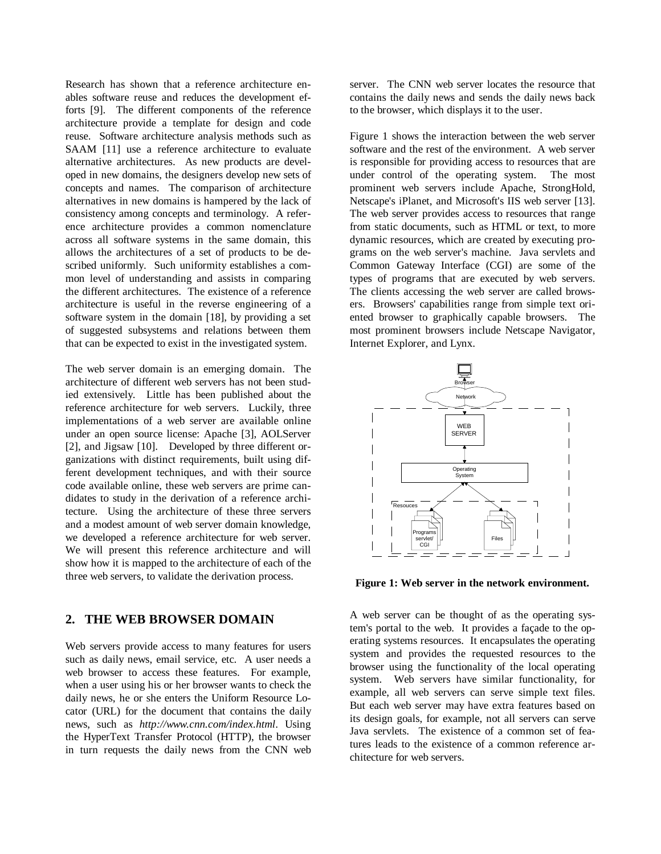Research has shown that a reference architecture enables software reuse and reduces the development efforts [9]. The different components of the reference architecture provide a template for design and code reuse. Software architecture analysis methods such as SAAM [11] use a reference architecture to evaluate alternative architectures. As new products are developed in new domains, the designers develop new sets of concepts and names. The comparison of architecture alternatives in new domains is hampered by the lack of consistency among concepts and terminology. A reference architecture provides a common nomenclature across all software systems in the same domain, this allows the architectures of a set of products to be described uniformly. Such uniformity establishes a common level of understanding and assists in comparing the different architectures. The existence of a reference architecture is useful in the reverse engineering of a software system in the domain [18], by providing a set of suggested subsystems and relations between them that can be expected to exist in the investigated system.

The web server domain is an emerging domain. The architecture of different web servers has not been studied extensively. Little has been published about the reference architecture for web servers. Luckily, three implementations of a web server are available online under an open source license: Apache [3], AOLServer [2], and Jigsaw [10]. Developed by three different organizations with distinct requirements, built using different development techniques, and with their source code available online, these web servers are prime candidates to study in the derivation of a reference architecture. Using the architecture of these three servers and a modest amount of web server domain knowledge, we developed a reference architecture for web server. We will present this reference architecture and will show how it is mapped to the architecture of each of the three web servers, to validate the derivation process.

## **2. THE WEB BROWSER DOMAIN**

Web servers provide access to many features for users such as daily news, email service, etc. A user needs a web browser to access these features. For example, when a user using his or her browser wants to check the daily news, he or she enters the Uniform Resource Locator (URL) for the document that contains the daily news, such as *http://www.cnn.com/index.html*. Using the HyperText Transfer Protocol (HTTP), the browser in turn requests the daily news from the CNN web server. The CNN web server locates the resource that contains the daily news and sends the daily news back to the browser, which displays it to the user.

Figure 1 shows the interaction between the web server software and the rest of the environment. A web server is responsible for providing access to resources that are under control of the operating system. The most prominent web servers include Apache, StrongHold, Netscape's iPlanet, and Microsoft's IIS web server [13]. The web server provides access to resources that range from static documents, such as HTML or text, to more dynamic resources, which are created by executing programs on the web server's machine. Java servlets and Common Gateway Interface (CGI) are some of the types of programs that are executed by web servers. The clients accessing the web server are called browsers. Browsers' capabilities range from simple text oriented browser to graphically capable browsers. The most prominent browsers include Netscape Navigator, Internet Explorer, and Lynx.



**Figure 1: Web server in the network environment.** 

A web server can be thought of as the operating system's portal to the web. It provides a façade to the operating systems resources. It encapsulates the operating system and provides the requested resources to the browser using the functionality of the local operating system. Web servers have similar functionality, for example, all web servers can serve simple text files. But each web server may have extra features based on its design goals, for example, not all servers can serve Java servlets. The existence of a common set of features leads to the existence of a common reference architecture for web servers.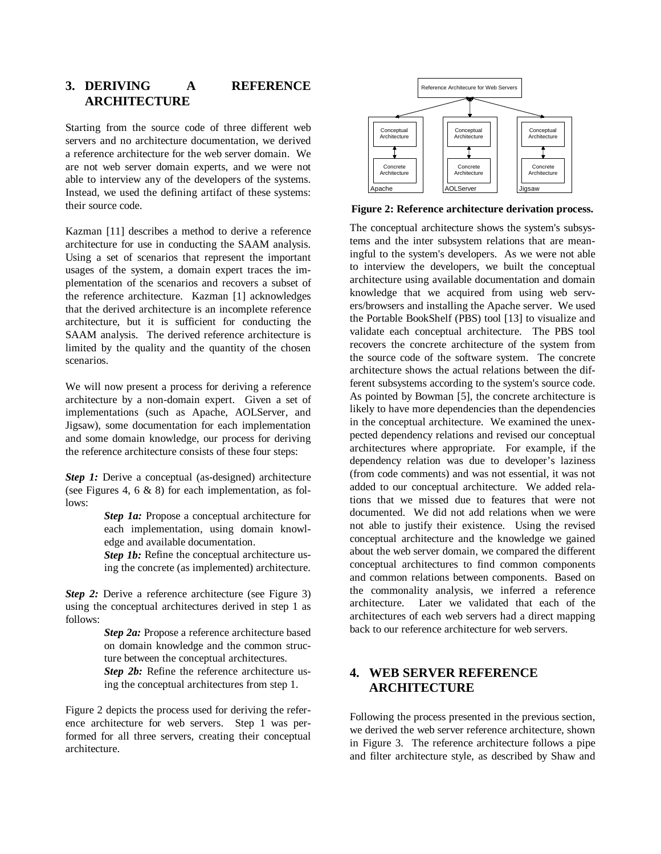# **3. DERIVING A REFERENCE ARCHITECTURE**

Starting from the source code of three different web servers and no architecture documentation, we derived a reference architecture for the web server domain. We are not web server domain experts, and we were not able to interview any of the developers of the systems. Instead, we used the defining artifact of these systems: their source code.

Kazman [11] describes a method to derive a reference architecture for use in conducting the SAAM analysis. Using a set of scenarios that represent the important usages of the system, a domain expert traces the implementation of the scenarios and recovers a subset of the reference architecture. Kazman [1] acknowledges that the derived architecture is an incomplete reference architecture, but it is sufficient for conducting the SAAM analysis. The derived reference architecture is limited by the quality and the quantity of the chosen scenarios.

We will now present a process for deriving a reference architecture by a non-domain expert. Given a set of implementations (such as Apache, AOLServer, and Jigsaw), some documentation for each implementation and some domain knowledge, our process for deriving the reference architecture consists of these four steps:

*Step 1:* Derive a conceptual (as-designed) architecture (see Figures 4, 6 & 8) for each implementation, as follows:

> *Step 1a:* Propose a conceptual architecture for each implementation, using domain knowledge and available documentation.

> *Step 1b:* Refine the conceptual architecture using the concrete (as implemented) architecture.

*Step 2:* Derive a reference architecture (see Figure 3) using the conceptual architectures derived in step 1 as follows:

> *Step 2a:* Propose a reference architecture based on domain knowledge and the common structure between the conceptual architectures.

> *Step 2b:* Refine the reference architecture using the conceptual architectures from step 1.

Figure 2 depicts the process used for deriving the reference architecture for web servers. Step 1 was performed for all three servers, creating their conceptual architecture.



**Figure 2: Reference architecture derivation process.** 

The conceptual architecture shows the system's subsystems and the inter subsystem relations that are meaningful to the system's developers. As we were not able to interview the developers, we built the conceptual architecture using available documentation and domain knowledge that we acquired from using web servers/browsers and installing the Apache server. We used the Portable BookShelf (PBS) tool [13] to visualize and validate each conceptual architecture. The PBS tool recovers the concrete architecture of the system from the source code of the software system. The concrete architecture shows the actual relations between the different subsystems according to the system's source code. As pointed by Bowman [5], the concrete architecture is likely to have more dependencies than the dependencies in the conceptual architecture. We examined the unexpected dependency relations and revised our conceptual architectures where appropriate. For example, if the dependency relation was due to developer's laziness (from code comments) and was not essential, it was not added to our conceptual architecture. We added relations that we missed due to features that were not documented. We did not add relations when we were not able to justify their existence. Using the revised conceptual architecture and the knowledge we gained about the web server domain, we compared the different conceptual architectures to find common components and common relations between components. Based on the commonality analysis, we inferred a reference architecture. Later we validated that each of the architectures of each web servers had a direct mapping back to our reference architecture for web servers.

# **4. WEB SERVER REFERENCE ARCHITECTURE**

Following the process presented in the previous section, we derived the web server reference architecture, shown in Figure 3. The reference architecture follows a pipe and filter architecture style, as described by Shaw and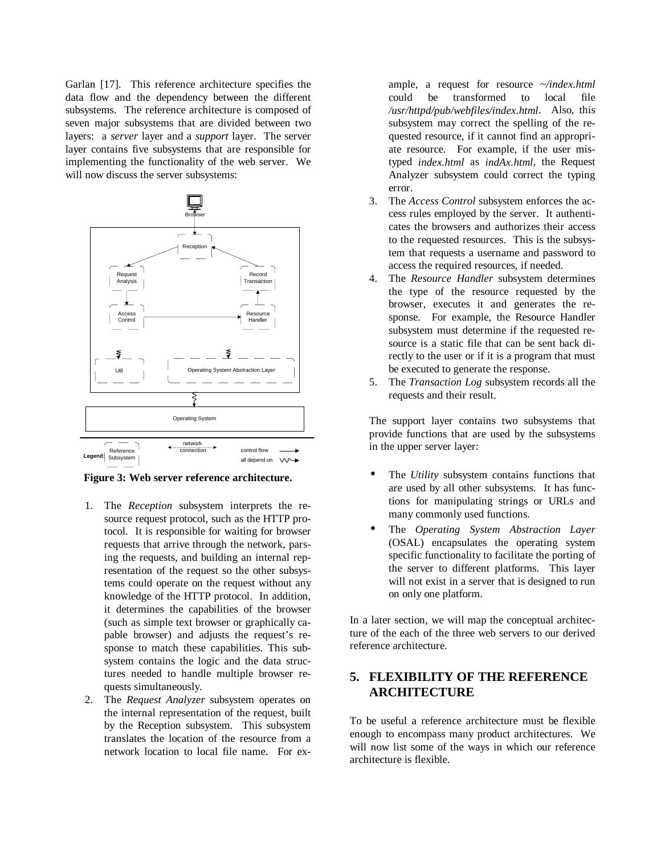Garlan [17]. This reference architecture specifies the data flow and the dependency between the different subsystems. The reference architecture is composed of seven major subsystems that are divided between two layers: a *server* layer and a *support* layer. The server layer contains five subsystems that are responsible for implementing the functionality of the web server. We will now discuss the server subsystems:



**Figure 3: Web server reference architecture.** 

- 1. The *Reception* subsystem interprets the resource request protocol, such as the HTTP protocol. It is responsible for waiting for browser requests that arrive through the network, parsing the requests, and building an internal representation of the request so the other subsystems could operate on the request without any knowledge of the HTTP protocol. In addition, it determines the capabilities of the browser (such as simple text browser or graphically capable browser) and adjusts the request's response to match these capabilities. This subsystem contains the logic and the data structures needed to handle multiple browser requests simultaneously.
- 2. The *Request Analyzer* subsystem operates on the internal representation of the request, built by the Reception subsystem. This subsystem translates the location of the resource from a network location to local file name. For ex-

ample, a request for resource *~/index.html* could be transformed to local file */usr/httpd/pub/webfiles/index.html*. Also, this subsystem may correct the spelling of the requested resource, if it cannot find an appropriate resource. For example, if the user mistyped *index.html* as *indAx.html*, the Request Analyzer subsystem could correct the typing error.

- 3. The *Access Control* subsystem enforces the access rules employed by the server. It authenticates the browsers and authorizes their access to the requested resources. This is the subsystem that requests a username and password to access the required resources, if needed.
- 4. The *Resource Handler* subsystem determines the type of the resource requested by the browser, executes it and generates the response. For example, the Resource Handler subsystem must determine if the requested resource is a static file that can be sent back directly to the user or if it is a program that must be executed to generate the response.
- 5. The *Transaction Log* subsystem records all the requests and their result.

The support layer contains two subsystems that provide functions that are used by the subsystems in the upper server layer:

- The *Utility* subsystem contains functions that are used by all other subsystems. It has functions for manipulating strings or URLs and many commonly used functions.
- The *Operating System Abstraction Layer* (OSAL) encapsulates the operating system specific functionality to facilitate the porting of the server to different platforms. This layer will not exist in a server that is designed to run on only one platform.

In a later section, we will map the conceptual architecture of the each of the three web servers to our derived reference architecture.

# **5. FLEXIBILITY OF THE REFERENCE ARCHITECTURE**

To be useful a reference architecture must be flexible enough to encompass many product architectures. We will now list some of the ways in which our reference architecture is flexible.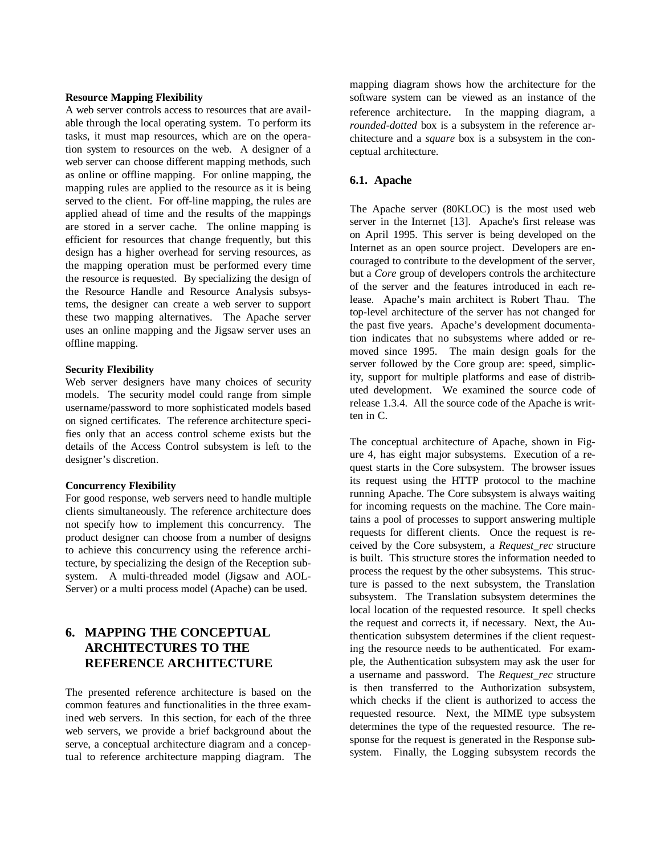#### **Resource Mapping Flexibility**

A web server controls access to resources that are available through the local operating system. To perform its tasks, it must map resources, which are on the operation system to resources on the web. A designer of a web server can choose different mapping methods, such as online or offline mapping. For online mapping, the mapping rules are applied to the resource as it is being served to the client. For off-line mapping, the rules are applied ahead of time and the results of the mappings are stored in a server cache. The online mapping is efficient for resources that change frequently, but this design has a higher overhead for serving resources, as the mapping operation must be performed every time the resource is requested. By specializing the design of the Resource Handle and Resource Analysis subsystems, the designer can create a web server to support these two mapping alternatives. The Apache server uses an online mapping and the Jigsaw server uses an offline mapping.

#### **Security Flexibility**

Web server designers have many choices of security models. The security model could range from simple username/password to more sophisticated models based on signed certificates. The reference architecture specifies only that an access control scheme exists but the details of the Access Control subsystem is left to the designer's discretion.

#### **Concurrency Flexibility**

For good response, web servers need to handle multiple clients simultaneously. The reference architecture does not specify how to implement this concurrency. The product designer can choose from a number of designs to achieve this concurrency using the reference architecture, by specializing the design of the Reception subsystem. A multi-threaded model (Jigsaw and AOL-Server) or a multi process model (Apache) can be used.

## **6. MAPPING THE CONCEPTUAL ARCHITECTURES TO THE REFERENCE ARCHITECTURE**

The presented reference architecture is based on the common features and functionalities in the three examined web servers. In this section, for each of the three web servers, we provide a brief background about the serve, a conceptual architecture diagram and a conceptual to reference architecture mapping diagram. The mapping diagram shows how the architecture for the software system can be viewed as an instance of the reference architecture. In the mapping diagram, a *rounded-dotted* box is a subsystem in the reference architecture and a *square* box is a subsystem in the conceptual architecture.

#### **6.1. Apache**

The Apache server (80KLOC) is the most used web server in the Internet [13]. Apache's first release was on April 1995. This server is being developed on the Internet as an open source project. Developers are encouraged to contribute to the development of the server, but a *Core* group of developers controls the architecture of the server and the features introduced in each release. Apache's main architect is Robert Thau. The top-level architecture of the server has not changed for the past five years. Apache's development documentation indicates that no subsystems where added or removed since 1995. The main design goals for the server followed by the Core group are: speed, simplicity, support for multiple platforms and ease of distributed development. We examined the source code of release 1.3.4. All the source code of the Apache is written in C.

The conceptual architecture of Apache, shown in Figure 4, has eight major subsystems. Execution of a request starts in the Core subsystem. The browser issues its request using the HTTP protocol to the machine running Apache. The Core subsystem is always waiting for incoming requests on the machine. The Core maintains a pool of processes to support answering multiple requests for different clients. Once the request is received by the Core subsystem, a *Request\_rec* structure is built. This structure stores the information needed to process the request by the other subsystems. This structure is passed to the next subsystem, the Translation subsystem. The Translation subsystem determines the local location of the requested resource. It spell checks the request and corrects it, if necessary. Next, the Authentication subsystem determines if the client requesting the resource needs to be authenticated. For example, the Authentication subsystem may ask the user for a username and password. The *Request\_rec* structure is then transferred to the Authorization subsystem, which checks if the client is authorized to access the requested resource. Next, the MIME type subsystem determines the type of the requested resource. The response for the request is generated in the Response subsystem. Finally, the Logging subsystem records the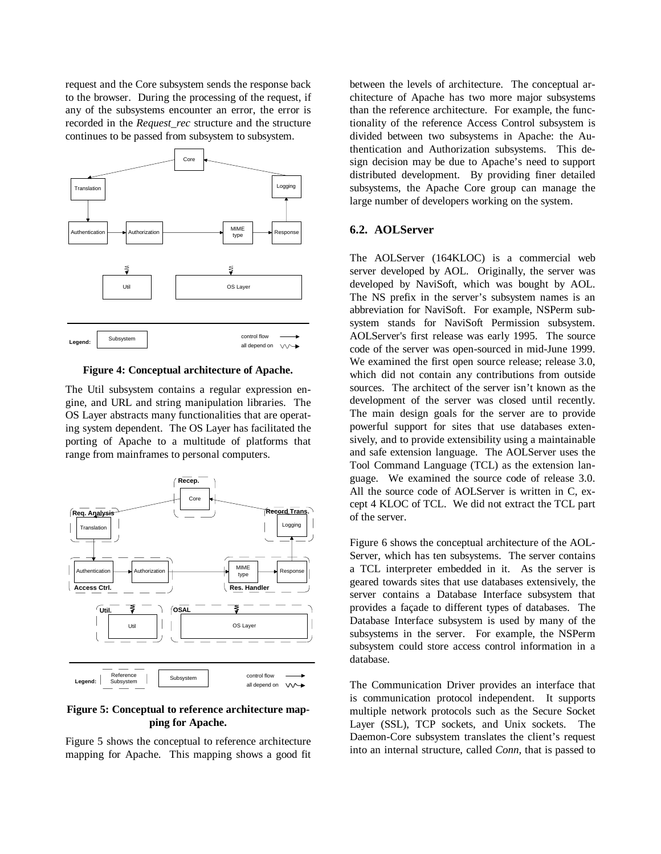request and the Core subsystem sends the response back to the browser. During the processing of the request, if any of the subsystems encounter an error, the error is recorded in the *Request\_rec* structure and the structure continues to be passed from subsystem to subsystem.



**Figure 4: Conceptual architecture of Apache.** 

The Util subsystem contains a regular expression engine, and URL and string manipulation libraries. The OS Layer abstracts many functionalities that are operating system dependent. The OS Layer has facilitated the porting of Apache to a multitude of platforms that range from mainframes to personal computers.



### **Figure 5: Conceptual to reference architecture mapping for Apache.**

Figure 5 shows the conceptual to reference architecture mapping for Apache. This mapping shows a good fit between the levels of architecture. The conceptual architecture of Apache has two more major subsystems than the reference architecture. For example, the functionality of the reference Access Control subsystem is divided between two subsystems in Apache: the Authentication and Authorization subsystems. This design decision may be due to Apache's need to support distributed development. By providing finer detailed subsystems, the Apache Core group can manage the large number of developers working on the system.

### **6.2. AOLServer**

The AOLServer (164KLOC) is a commercial web server developed by AOL. Originally, the server was developed by NaviSoft, which was bought by AOL. The NS prefix in the server's subsystem names is an abbreviation for NaviSoft. For example, NSPerm subsystem stands for NaviSoft Permission subsystem. AOLServer's first release was early 1995. The source code of the server was open-sourced in mid-June 1999. We examined the first open source release; release 3.0, which did not contain any contributions from outside sources. The architect of the server isn't known as the development of the server was closed until recently. The main design goals for the server are to provide powerful support for sites that use databases extensively, and to provide extensibility using a maintainable and safe extension language. The AOLServer uses the Tool Command Language (TCL) as the extension language. We examined the source code of release 3.0. All the source code of AOLServer is written in C, except 4 KLOC of TCL. We did not extract the TCL part of the server.

Figure 6 shows the conceptual architecture of the AOL-Server, which has ten subsystems. The server contains a TCL interpreter embedded in it. As the server is geared towards sites that use databases extensively, the server contains a Database Interface subsystem that provides a façade to different types of databases. The Database Interface subsystem is used by many of the subsystems in the server. For example, the NSPerm subsystem could store access control information in a database.

The Communication Driver provides an interface that is communication protocol independent. It supports multiple network protocols such as the Secure Socket Layer (SSL), TCP sockets, and Unix sockets. The Daemon-Core subsystem translates the client's request into an internal structure, called *Conn,* that is passed to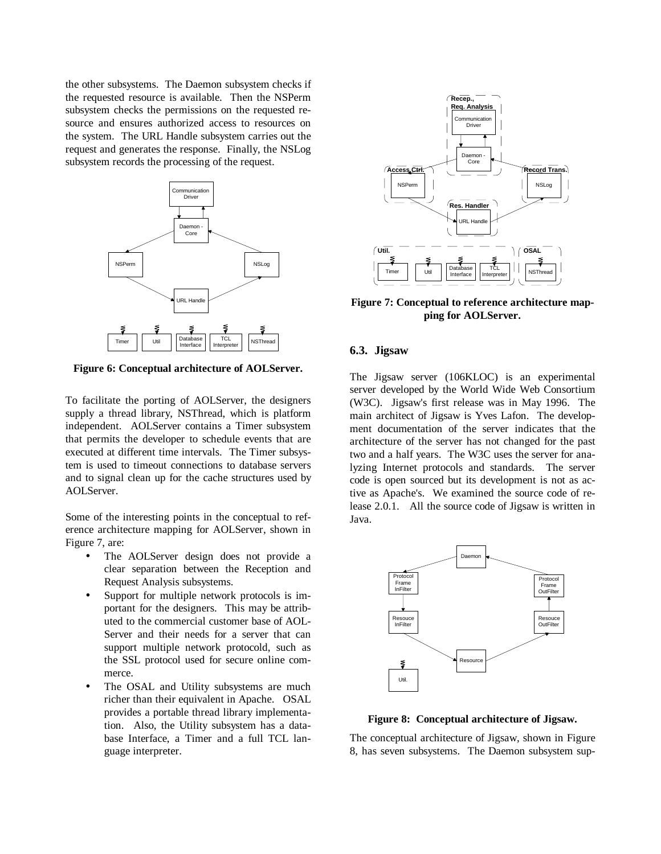the other subsystems. The Daemon subsystem checks if the requested resource is available. Then the NSPerm subsystem checks the permissions on the requested resource and ensures authorized access to resources on the system. The URL Handle subsystem carries out the request and generates the response. Finally, the NSLog subsystem records the processing of the request.



**Figure 6: Conceptual architecture of AOLServer.** 

To facilitate the porting of AOLServer, the designers supply a thread library, NSThread, which is platform independent. AOLServer contains a Timer subsystem that permits the developer to schedule events that are executed at different time intervals. The Timer subsystem is used to timeout connections to database servers and to signal clean up for the cache structures used by AOLServer.

Some of the interesting points in the conceptual to reference architecture mapping for AOLServer, shown in Figure 7, are:

- The AOLServer design does not provide a clear separation between the Reception and Request Analysis subsystems.
- Support for multiple network protocols is important for the designers. This may be attributed to the commercial customer base of AOL-Server and their needs for a server that can support multiple network protocold, such as the SSL protocol used for secure online commerce.
- The OSAL and Utility subsystems are much richer than their equivalent in Apache. OSAL provides a portable thread library implementation. Also, the Utility subsystem has a database Interface, a Timer and a full TCL language interpreter.



**Figure 7: Conceptual to reference architecture mapping for AOLServer.** 

#### **6.3. Jigsaw**

The Jigsaw server (106KLOC) is an experimental server developed by the World Wide Web Consortium (W3C). Jigsaw's first release was in May 1996. The main architect of Jigsaw is Yves Lafon. The development documentation of the server indicates that the architecture of the server has not changed for the past two and a half years. The W3C uses the server for analyzing Internet protocols and standards. The server code is open sourced but its development is not as active as Apache's. We examined the source code of release 2.0.1. All the source code of Jigsaw is written in Java.



**Figure 8: Conceptual architecture of Jigsaw.** 

The conceptual architecture of Jigsaw, shown in Figure 8, has seven subsystems. The Daemon subsystem sup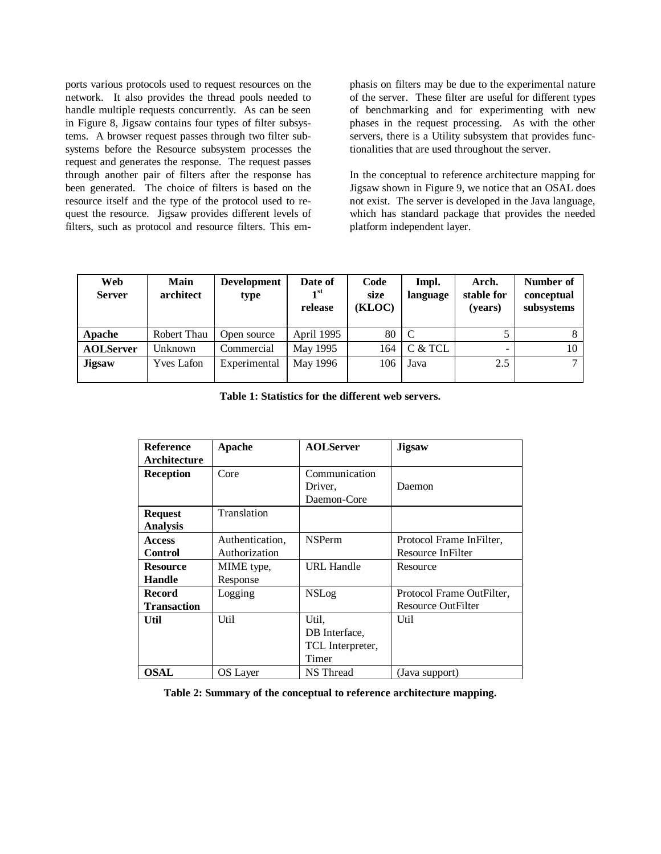ports various protocols used to request resources on the network. It also provides the thread pools needed to handle multiple requests concurrently. As can be seen in Figure 8, Jigsaw contains four types of filter subsystems. A browser request passes through two filter subsystems before the Resource subsystem processes the request and generates the response. The request passes through another pair of filters after the response has been generated. The choice of filters is based on the resource itself and the type of the protocol used to request the resource. Jigsaw provides different levels of filters, such as protocol and resource filters. This emphasis on filters may be due to the experimental nature of the server. These filter are useful for different types of benchmarking and for experimenting with new phases in the request processing. As with the other servers, there is a Utility subsystem that provides functionalities that are used throughout the server.

In the conceptual to reference architecture mapping for Jigsaw shown in Figure 9, we notice that an OSAL does not exist. The server is developed in the Java language, which has standard package that provides the needed platform independent layer.

| Web<br><b>Server</b> | Main<br>architect | <b>Development</b><br>type | Date of<br>1 <sup>st</sup><br>release | Code<br>size<br>(KLOC) | Impl.<br>language | Arch.<br>stable for<br>(years) | Number of<br>conceptual<br>subsystems |
|----------------------|-------------------|----------------------------|---------------------------------------|------------------------|-------------------|--------------------------------|---------------------------------------|
| Apache               | Robert Thau       | Open source                | April 1995                            | 80                     | C                 |                                |                                       |
| <b>AOLServer</b>     | Unknown           | Commercial                 | May 1995                              | 164                    | C & TCL           | -                              | 10                                    |
| <b>Jigsaw</b>        | <b>Yves Lafon</b> | Experimental               | May 1996                              | 106                    | Java              | 2.5                            | ⇁                                     |

| Table 1: Statistics for the different web servers. |  |
|----------------------------------------------------|--|
|----------------------------------------------------|--|

| Reference                | <b>Apache</b>   | <b>AOLServer</b>  | <b>Jigsaw</b>             |  |
|--------------------------|-----------------|-------------------|---------------------------|--|
| <b>Architecture</b>      |                 |                   |                           |  |
| Core<br><b>Reception</b> |                 | Communication     |                           |  |
|                          |                 | Driver,           | Daemon                    |  |
|                          |                 | Daemon-Core       |                           |  |
| <b>Request</b>           | Translation     |                   |                           |  |
| <b>Analysis</b>          |                 |                   |                           |  |
| <b>Access</b>            | Authentication, | <b>NSPerm</b>     | Protocol Frame In Filter, |  |
| <b>Control</b>           | Authorization   |                   | Resource InFilter         |  |
| <b>Resource</b>          | MIME type,      | <b>URL Handle</b> | Resource                  |  |
| <b>Handle</b>            | Response        |                   |                           |  |
| <b>Record</b>            | Logging         | <b>NSLog</b>      | Protocol Frame OutFilter, |  |
| <b>Transaction</b>       |                 |                   | Resource OutFilter        |  |
| Util                     | Util            | Util.             | Util                      |  |
|                          |                 | DB Interface,     |                           |  |
|                          |                 | TCL Interpreter,  |                           |  |
|                          |                 | Timer             |                           |  |
| <b>OSAL</b>              | <b>OS</b> Layer | <b>NS</b> Thread  | (Java support)            |  |

**Table 2: Summary of the conceptual to reference architecture mapping.**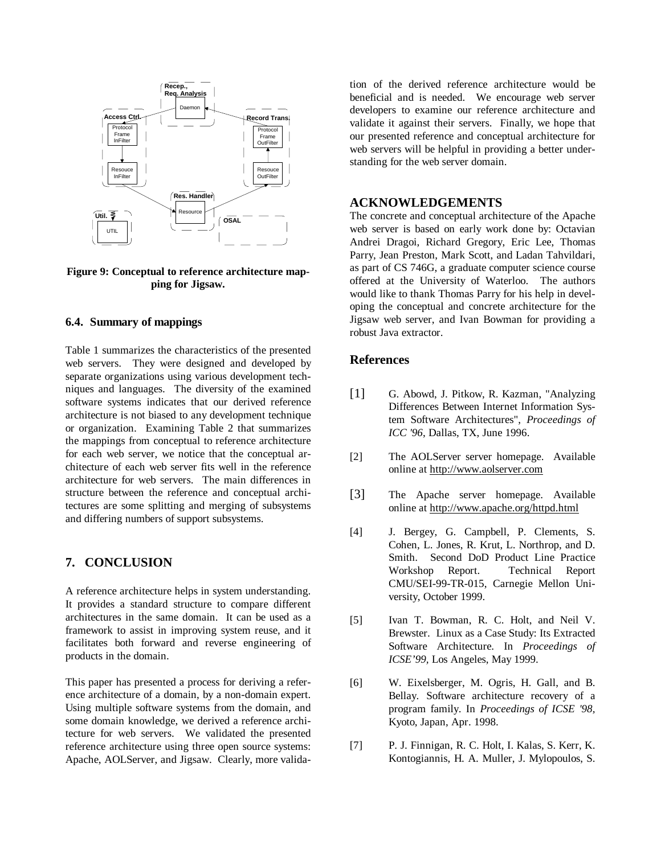

**Figure 9: Conceptual to reference architecture mapping for Jigsaw.** 

### **6.4. Summary of mappings**

Table 1 summarizes the characteristics of the presented web servers. They were designed and developed by separate organizations using various development techniques and languages. The diversity of the examined software systems indicates that our derived reference architecture is not biased to any development technique or organization. Examining Table 2 that summarizes the mappings from conceptual to reference architecture for each web server, we notice that the conceptual architecture of each web server fits well in the reference architecture for web servers. The main differences in structure between the reference and conceptual architectures are some splitting and merging of subsystems and differing numbers of support subsystems.

## **7. CONCLUSION**

A reference architecture helps in system understanding. It provides a standard structure to compare different architectures in the same domain. It can be used as a framework to assist in improving system reuse, and it facilitates both forward and reverse engineering of products in the domain.

This paper has presented a process for deriving a reference architecture of a domain, by a non-domain expert. Using multiple software systems from the domain, and some domain knowledge, we derived a reference architecture for web servers. We validated the presented reference architecture using three open source systems: Apache, AOLServer, and Jigsaw. Clearly, more validation of the derived reference architecture would be beneficial and is needed. We encourage web server developers to examine our reference architecture and validate it against their servers. Finally, we hope that our presented reference and conceptual architecture for web servers will be helpful in providing a better understanding for the web server domain.

### **ACKNOWLEDGEMENTS**

The concrete and conceptual architecture of the Apache web server is based on early work done by: Octavian Andrei Dragoi, Richard Gregory, Eric Lee, Thomas Parry, Jean Preston, Mark Scott, and Ladan Tahvildari, as part of CS 746G, a graduate computer science course offered at the University of Waterloo. The authors would like to thank Thomas Parry for his help in developing the conceptual and concrete architecture for the Jigsaw web server, and Ivan Bowman for providing a robust Java extractor.

### **References**

- [1] G. Abowd, J. Pitkow, R. Kazman, "Analyzing" Differences Between Internet Information System Software Architectures", *Proceedings of ICC '96*, Dallas, TX, June 1996.
- [2] The AOLServer server homepage. Available online at http://www.aolserver.com
- [3] The Apache server homepage. Available online at http://www.apache.org/httpd.html
- [4] J. Bergey, G. Campbell, P. Clements, S. Cohen, L. Jones, R. Krut, L. Northrop, and D. Smith. Second DoD Product Line Practice Workshop Report. Technical Report CMU/SEI-99-TR-015, Carnegie Mellon University, October 1999.
- [5] Ivan T. Bowman, R. C. Holt, and Neil V. Brewster. Linux as a Case Study: Its Extracted Software Architecture. In *Proceedings of ICSE'99,* Los Angeles, May 1999.
- [6] W. Eixelsberger, M. Ogris, H. Gall, and B. Bellay. Software architecture recovery of a program family. In *Proceedings of ICSE '98,*  Kyoto, Japan, Apr. 1998.
- [7] P. J. Finnigan, R. C. Holt, I. Kalas, S. Kerr, K. Kontogiannis, H. A. Muller, J. Mylopoulos, S.